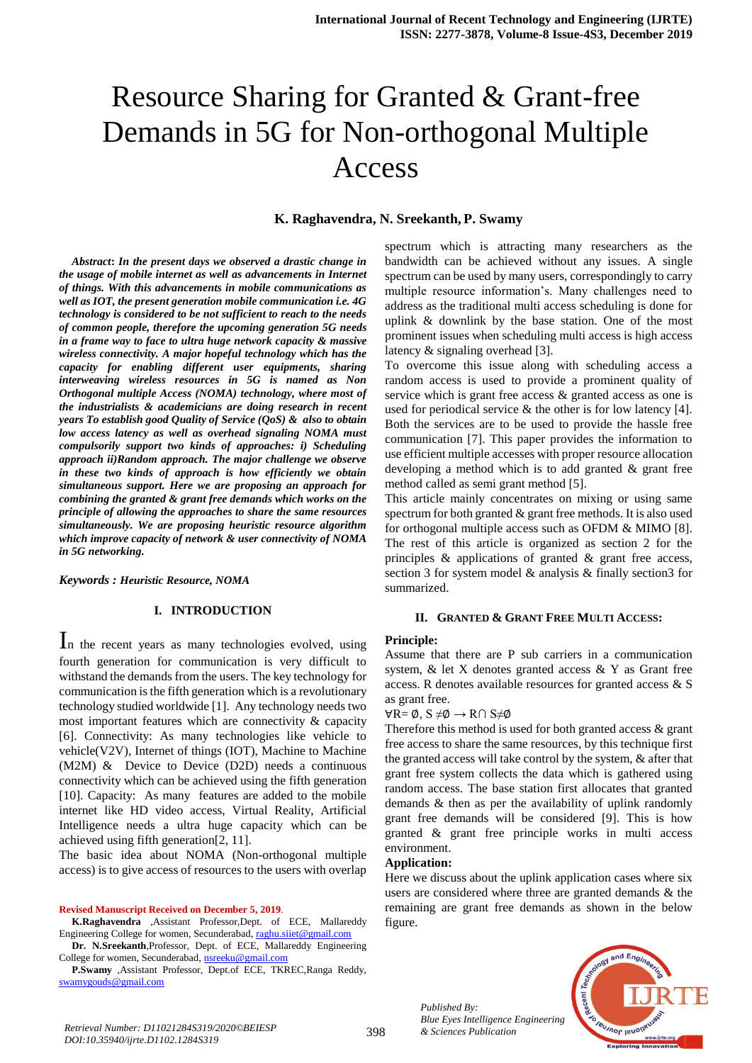# Resource Sharing for Granted & Grant-free Demands in 5G for Non-orthogonal Multiple Access

## **K. Raghavendra, N. Sreekanth, P. Swamy**

*Abstract***:** *In the present days we observed a drastic change in the usage of mobile internet as well as advancements in Internet of things. With this advancements in mobile communications as well as IOT, the present generation mobile communication i.e. 4G technology is considered to be not sufficient to reach to the needs of common people, therefore the upcoming generation 5G needs in a frame way to face to ultra huge network capacity & massive wireless connectivity. A major hopeful technology which has the capacity for enabling different user equipments, sharing interweaving wireless resources in 5G is named as Non Orthogonal multiple Access (NOMA) technology, where most of the industrialists & academicians are doing research in recent years To establish good Quality of Service (QoS) & also to obtain low access latency as well as overhead signaling NOMA must compulsorily support two kinds of approaches: i) Scheduling approach ii)Random approach. The major challenge we observe in these two kinds of approach is how efficiently we obtain simultaneous support. Here we are proposing an approach for combining the granted & grant free demands which works on the principle of allowing the approaches to share the same resources simultaneously. We are proposing heuristic resource algorithm which improve capacity of network & user connectivity of NOMA in 5G networking.*

#### *Keywords : Heuristic Resource, NOMA*

## **I. INTRODUCTION**

In the recent years as many technologies evolved, using fourth generation for communication is very difficult to withstand the demands from the users. The key technology for communication is the fifth generation which is a revolutionary technology studied worldwide [1]. Any technology needs two most important features which are connectivity & capacity [6]. Connectivity: As many technologies like vehicle to vehicle(V2V), Internet of things (IOT), Machine to Machine (M2M) & Device to Device (D2D) needs a continuous connectivity which can be achieved using the fifth generation [10]. Capacity: As many features are added to the mobile internet like HD video access, Virtual Reality, Artificial Intelligence needs a ultra huge capacity which can be achieved using fifth generation[2, 11].

The basic idea about NOMA (Non-orthogonal multiple access) is to give access of resources to the users with overlap

#### **Revised Manuscript Received on December 5, 2019**.

**K.Raghavendra** ,Assistant Professor,Dept. of ECE, Mallareddy Engineering College for women, Secunderabad, [raghu.siiet@gmail.com](mailto:raghu.siiet@gmail.com)

**Dr. N.Sreekanth**,Professor, Dept. of ECE, Mallareddy Engineering College for women, Secunderabad[, nsreeku@gmail.com](mailto:nsreeku@gmail.com)

**P.Swamy** ,Assistant Professor, Dept.of ECE, TKREC,Ranga Reddy, [swamygouds@gmail.com](mailto:swamygouds@gmail.com)

spectrum which is attracting many researchers as the bandwidth can be achieved without any issues. A single spectrum can be used by many users, correspondingly to carry multiple resource information's. Many challenges need to address as the traditional multi access scheduling is done for uplink & downlink by the base station. One of the most prominent issues when scheduling multi access is high access latency & signaling overhead [3].

To overcome this issue along with scheduling access a random access is used to provide a prominent quality of service which is grant free access & granted access as one is used for periodical service & the other is for low latency [4]. Both the services are to be used to provide the hassle free communication [7]. This paper provides the information to use efficient multiple accesses with proper resource allocation developing a method which is to add granted  $\&$  grant free method called as semi grant method [5].

This article mainly concentrates on mixing or using same spectrum for both granted & grant free methods. It is also used for orthogonal multiple access such as OFDM & MIMO [8]. The rest of this article is organized as section 2 for the principles  $\&$  applications of granted  $\&$  grant free access, section 3 for system model & analysis & finally section3 for summarized.

## **II. GRANTED & GRANT FREE MULTI ACCESS:**

#### **Principle:**

Assume that there are P sub carriers in a communication system, & let X denotes granted access & Y as Grant free access. R denotes available resources for granted access & S as grant free.

#### $\forall R = \emptyset$ , S  $\neq \emptyset \rightarrow R \cap S \neq \emptyset$

Therefore this method is used for both granted access & grant free access to share the same resources, by this technique first the granted access will take control by the system, & after that grant free system collects the data which is gathered using random access. The base station first allocates that granted demands & then as per the availability of uplink randomly grant free demands will be considered [9]. This is how granted & grant free principle works in multi access environment.

## **Application:**

Here we discuss about the uplink application cases where six users are considered where three are granted demands & the remaining are grant free demands as shown in the below figure.

> *Published By: Blue Eyes Intelligence Engineering*

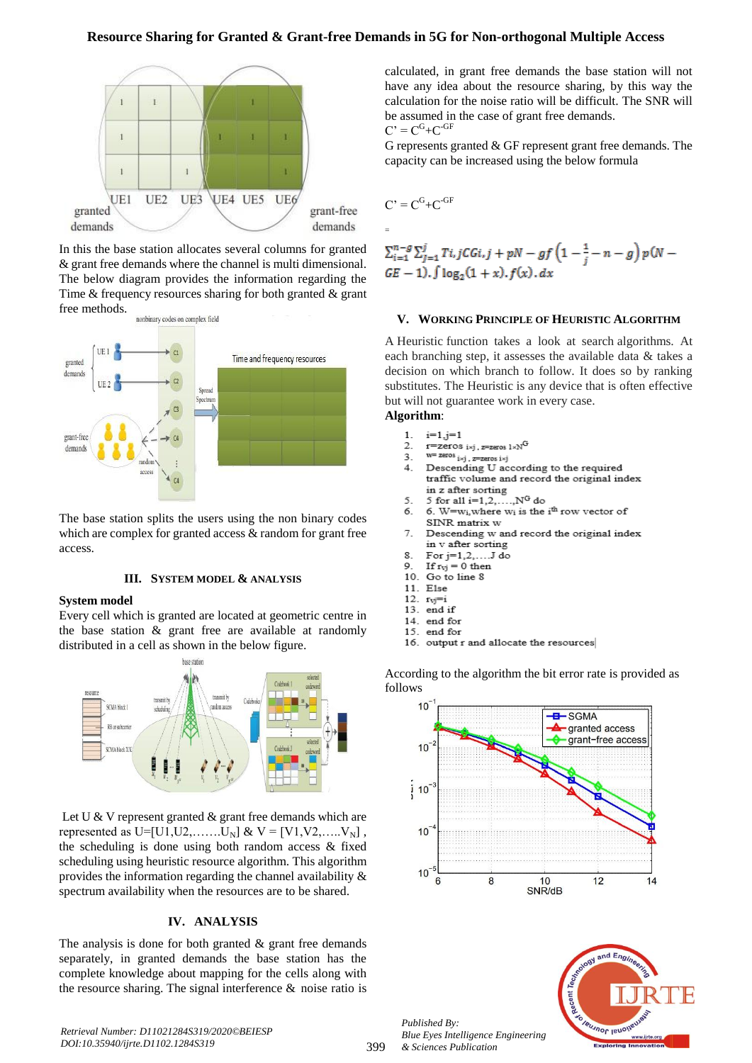## **Resource Sharing for Granted & Grant-free Demands in 5G for Non-orthogonal Multiple Access**



In this the base station allocates several columns for granted & grant free demands where the channel is multi dimensional. The below diagram provides the information regarding the Time & frequency resources sharing for both granted & grant free methods.



The base station splits the users using the non binary codes which are complex for granted access & random for grant free access.

## **III. SYSTEM MODEL & ANALYSIS**

#### **System model**

Every cell which is granted are located at geometric centre in the base station & grant free are available at randomly distributed in a cell as shown in the below figure.



Let U & V represent granted & grant free demands which are represented as U=[U1,U2,.......U<sub>N</sub>] & V = [V1,V2,.....V<sub>N</sub>], the scheduling is done using both random access & fixed scheduling using heuristic resource algorithm. This algorithm provides the information regarding the channel availability & spectrum availability when the resources are to be shared.

## **IV. ANALYSIS**

The analysis is done for both granted  $\&$  grant free demands separately, in granted demands the base station has the complete knowledge about mapping for the cells along with the resource sharing. The signal interference & noise ratio is calculated, in grant free demands the base station will not have any idea about the resource sharing, by this way the calculation for the noise ratio will be difficult. The SNR will be assumed in the case of grant free demands.  $C' = C<sup>G</sup>+C<sup>-GF</sup>$ 

G represents granted & GF represent grant free demands. The capacity can be increased using the below formula

$$
C^{\scriptscriptstyle{\bullet}} = C^G + C^{\scriptscriptstyle{\bullet}} G^F
$$

=

$$
\sum_{i=1}^{n-g} \sum_{j=1}^{j} T_{i,j} CGi, j + pN - gf \left(1 - \frac{1}{j} - n - g\right) p(N - GE - 1), \int \log_2(1 + x), f(x), dx
$$

#### **V. WORKING PRINCIPLE OF HEURISTIC ALGORITHM**

A Heuristic function takes a look at search algorithms. At each branching step, it assesses the available data & takes a decision on which branch to follow. It does so by ranking substitutes. The Heuristic is any device that is often effective but will not guarantee work in every case.

## **Algorithm**:

- $\mathbf 1$  $i=1, j=1$  $\overline{2}$
- r=zeros i×j, z=zeros l×N<sup>G</sup>  $W = 2eV \circ \frac{1}{2}$   $\frac{1}{2}$   $\frac{1}{2}$   $\frac{1}{2}$   $\frac{1}{2}$   $\frac{1}{2}$   $\frac{1}{2}$   $\frac{1}{2}$   $\frac{1}{2}$   $\frac{1}{2}$   $\frac{1}{2}$ 3.
- $\overline{4}$ Descending U according to the required traffic volume and record the original index
- in z after sorting 5.
- 5 for all  $i=1,2,...,N^{G}$  do 6.
- 6. W= $w_i$ , where  $w_i$  is the  $i<sup>th</sup>$  row vector of SINR matrix w
- 7. Descending w and record the original index in v after sorting
- $\mathbf{R}$ For j=1,2,....J do
- If  $r_{vj} = 0$  then 9 10. Go to line 8
- 11. Else
- 12.  $r_{\text{V}} = i$
- 13. end if
- 14. end for
- 15. end for
- 16. output r and allocate the resources

According to the algorithm the bit error rate is provided as follows





*Retrieval Number: D11021284S319/2020©BEIESP DOI:10.35940/ijrte.D1102.1284S319*

*Published By:*

*& Sciences Publication* 

*Blue Eyes Intelligence Engineering*